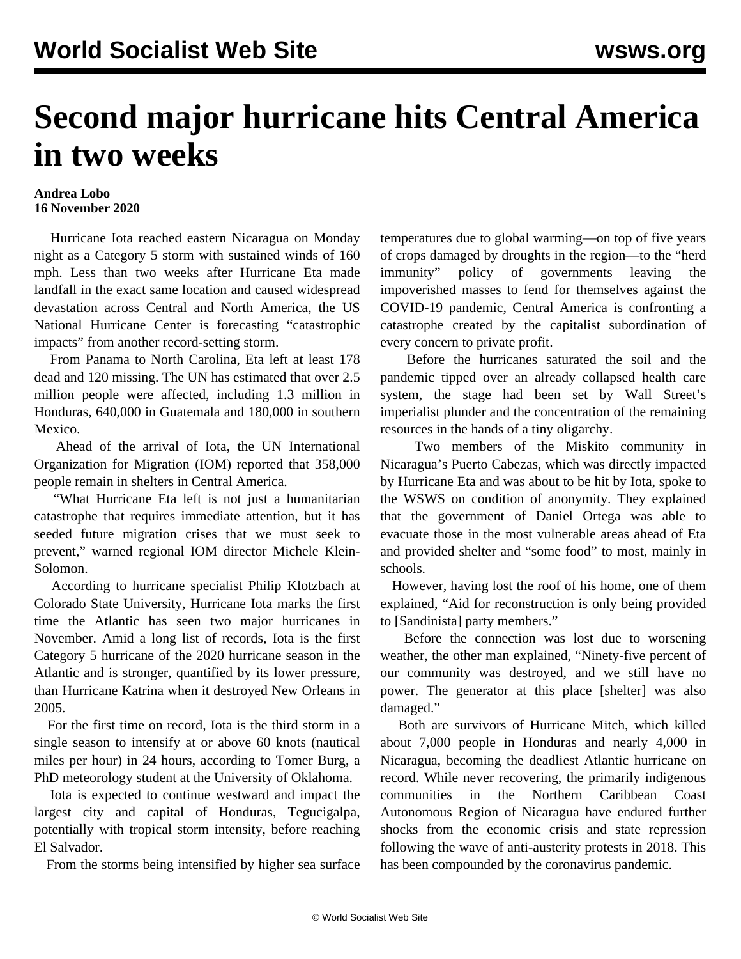## **Second major hurricane hits Central America in two weeks**

## **Andrea Lobo 16 November 2020**

 Hurricane Iota reached eastern Nicaragua on Monday night as a Category 5 storm with sustained winds of 160 mph. Less than two weeks after Hurricane Eta made landfall in the exact same location and caused widespread devastation across Central and North America, the US National Hurricane Center is forecasting "catastrophic impacts" from another record-setting storm.

 From Panama to North Carolina, Eta left at least 178 dead and 120 missing. The UN has estimated that over 2.5 million people were affected, including 1.3 million in Honduras, 640,000 in Guatemala and 180,000 in southern Mexico.

 Ahead of the arrival of Iota, the UN International Organization for Migration (IOM) reported that 358,000 people remain in shelters in Central America.

 "What Hurricane Eta left is not just a humanitarian catastrophe that requires immediate attention, but it has seeded future migration crises that we must seek to prevent," warned regional IOM director Michele Klein-Solomon.

 According to hurricane specialist Philip Klotzbach at Colorado State University, Hurricane Iota marks the first time the Atlantic has seen two major hurricanes in November. Amid a long list of records, Iota is the first Category 5 hurricane of the 2020 hurricane season in the Atlantic and is stronger, quantified by its lower pressure, than Hurricane Katrina when it destroyed New Orleans in 2005.

 For the first time on record, Iota is the third storm in a single season to intensify at or above 60 knots (nautical miles per hour) in 24 hours, according to Tomer Burg, a PhD meteorology student at the University of Oklahoma.

 Iota is expected to continue westward and impact the largest city and capital of Honduras, Tegucigalpa, potentially with tropical storm intensity, before reaching El Salvador.

From the storms being intensified by higher sea surface

temperatures due to global warming—on top of five years of crops damaged by droughts in the region—to the "herd immunity" policy of governments leaving the impoverished masses to fend for themselves against the COVID-19 pandemic, Central America is confronting a catastrophe created by the capitalist subordination of every concern to private profit.

 Before the hurricanes saturated the soil and the pandemic tipped over an already collapsed health care system, the stage had been set by Wall Street's imperialist plunder and the concentration of the remaining resources in the hands of a tiny oligarchy.

 Two members of the Miskito community in Nicaragua's Puerto Cabezas, which was directly impacted by Hurricane Eta and was about to be hit by Iota, spoke to the WSWS on condition of anonymity. They explained that the government of Daniel Ortega was able to evacuate those in the most vulnerable areas ahead of Eta and provided shelter and "some food" to most, mainly in schools.

 However, having lost the roof of his home, one of them explained, "Aid for reconstruction is only being provided to [Sandinista] party members."

 Before the connection was lost due to worsening weather, the other man explained, "Ninety-five percent of our community was destroyed, and we still have no power. The generator at this place [shelter] was also damaged."

 Both are survivors of Hurricane Mitch, which killed about 7,000 people in Honduras and nearly 4,000 in Nicaragua, becoming the deadliest Atlantic hurricane on record. While never recovering, the primarily indigenous communities in the Northern Caribbean Coast Autonomous Region of Nicaragua have endured further shocks from the economic crisis and state repression following the wave of anti-austerity protests in 2018. This has been compounded by the coronavirus pandemic.